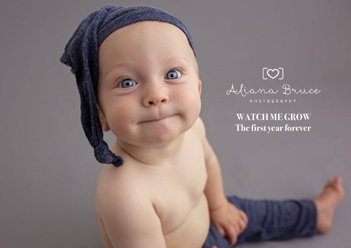

**WATCH ME GROW The first year forever**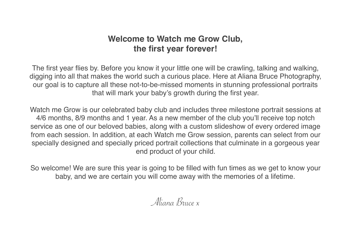#### **Welcome to Watch me Grow Club, the first year forever!**

The first year flies by. Before you know it your little one will be crawling, talking and walking, digging into all that makes the world such a curious place. Here at Aliana Bruce Photography, our goal is to capture all these not-to-be-missed moments in stunning professional portraits that will mark your baby's growth during the first year.

Watch me Grow is our celebrated baby club and includes three milestone portrait sessions at 4/6 months, 8/9 months and 1 year. As a new member of the club you'll receive top notch service as one of our beloved babies, along with a custom slideshow of every ordered image from each session. In addition, at each Watch me Grow session, parents can select from our specially designed and specially priced portrait collections that culminate in a gorgeous year end product of your child.

So welcome! We are sure this year is going to be filled with fun times as we get to know your baby, and we are certain you will come away with the memories of a lifetime.

Aliana Bruce x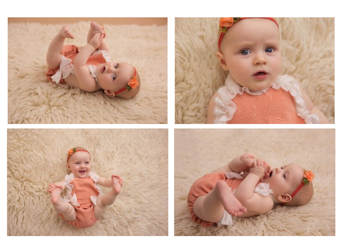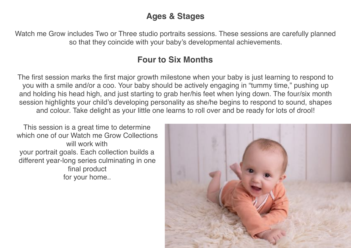# **Ages & Stages**

Watch me Grow includes Two or Three studio portraits sessions. These sessions are carefully planned so that they coincide with your baby's developmental achievements.

#### **Four to Six Months**

The first session marks the first major growth milestone when your baby is just learning to respond to you with a smile and/or a coo. Your baby should be actively engaging in "tummy time," pushing up and holding his head high, and just starting to grab her/his feet when lying down. The four/six month session highlights your child's developing personality as she/he begins to respond to sound, shapes and colour. Take delight as your little one learns to roll over and be ready for lots of drool!

This session is a great time to determine which one of our Watch me Grow Collections will work with your portrait goals. Each collection builds a different year-long series culminating in one final product for your home..

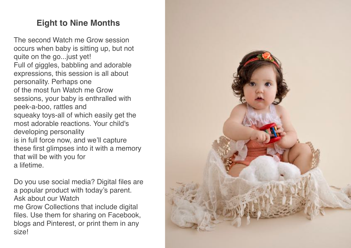# **Eight to Nine Months**

The second Watch me Grow session occurs when baby is sitting up, but not quite on the go...just yet! Full of giggles, babbling and adorable expressions, this session is all about personality. Perhaps one of the most fun Watch me Grow sessions, your baby is enthralled with peek-a-boo, rattles and squeaky toys-all of which easily get the most adorable reactions. Your child's developing personality is in full force now, and we'll capture these first glimpses into it with a memory that will be with you for a lifetime.

Do you use social media? Digital files are a popular product with today's parent. Ask about our Watch me Grow Collections that include digital files. Use them for sharing on Facebook, blogs and Pinterest, or print them in any size!

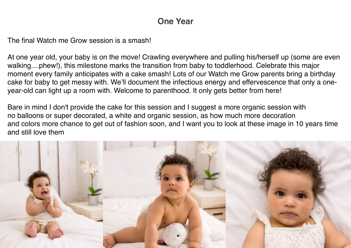#### **One Year**

The final Watch me Grow session is a smash!

At one year old, your baby is on the move! Crawling everywhere and pulling his/herself up (some are even walking....phew!), this milestone marks the transition from baby to toddlerhood. Celebrate this major moment every family anticipates with a cake smash! Lots of our Watch me Grow parents bring a birthday cake for baby to get messy with. We'll document the infectious energy and effervescence that only a oneyear-old can light up a room with. Welcome to parenthood. It only gets better from here!

Bare in mind I don't provide the cake for this session and I suggest a more organic session with no balloons or super decorated, a white and organic session, as how much more decoration and colors more chance to get out of fashion soon, and I want you to look at these image in 10 years time and still love them

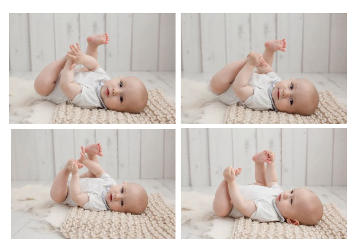





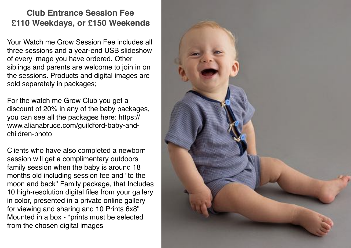#### **Club Entrance Session Fee £110 Weekdays, or £150 Weekends**

Your Watch me Grow Session Fee includes all three sessions and a year-end USB slideshow of every image you have ordered. Other siblings and parents are welcome to join in on the sessions. Products and digital images are sold separately in packages;

For the watch me Grow Club you get a discount of 20% in any of the baby packages, you can see all the packages here: [https://](https://www.alianabruce.com/guildford-baby-and-children-photo) [www.alianabruce.com/guildford-baby-and](https://www.alianabruce.com/guildford-baby-and-children-photo)[children-photo](https://www.alianabruce.com/guildford-baby-and-children-photo)

Clients who have also completed a newborn session will get a complimentary outdoors family session when the baby is around 18 months old including session fee and "to the moon and back" Family package, that Includes 10 high-resolution digital files from your gallery in color, presented in a private online gallery for viewing and sharing and 10 Prints 6x8" Mounted in a box - \*prints must be selected from the chosen digital images

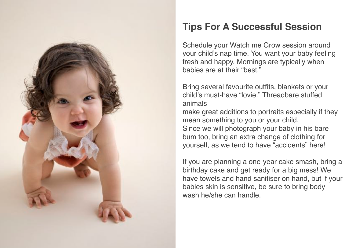

# **Tips For A Successful Session**

Schedule your Watch me Grow session around your child's nap time. You want your baby feeling fresh and happy. Mornings are typically when babies are at their "best."

Bring several favourite outfits, blankets or your child's must-have "lovie." Threadbare stuffed animals

make great additions to portraits especially if they mean something to you or your child. Since we will photograph your baby in his bare bum too, bring an extra change of clothing for yourself, as we tend to have "accidents" here!

If you are planning a one-year cake smash, bring a birthday cake and get ready for a big mess! We have towels and hand sanitiser on hand, but if your babies skin is sensitive, be sure to bring body wash he/she can handle.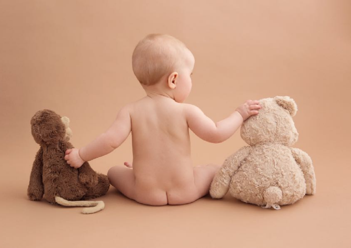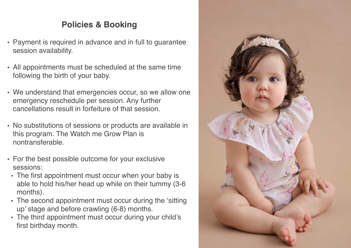### **Policies & Booking**

- Payment is required in advance and in full to guarantee session availability.
- All appointments must be scheduled at the same time following the birth of your baby.
- We understand that emergencies occur, so we allow one emergency reschedule per session. Any further cancellations result in forfeiture of that session.
- No substitutions of sessions or products are available in this program. The Watch me Grow Plan is nontransferable.
- For the best possible outcome for your exclusive sessions:
- The first appointment must occur when your baby is able to hold his/her head up while on their tummy (3-6 months).
- The second appointment must occur during the 'sitting' up' stage and before crawling (6-8) months.
- The third appointment must occur during your child's first birthday month.